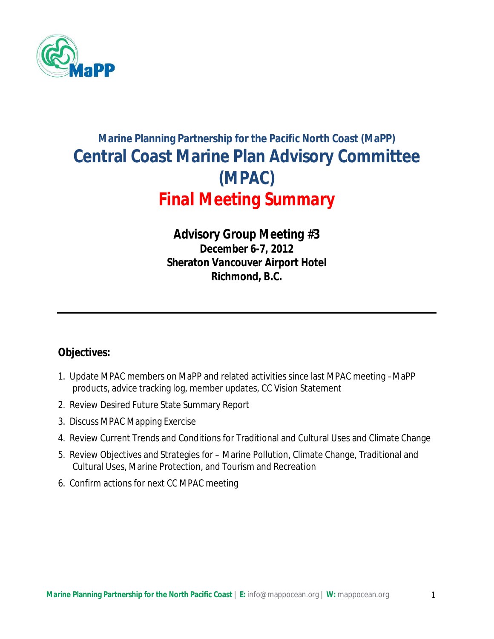

# **Marine Planning Partnership for the Pacific North Coast (MaPP) Central Coast Marine Plan Advisory Committee (MPAC)**  *Final Meeting Summary*

# *Advisory Group Meeting #3* **December 6-7, 2012 Sheraton Vancouver Airport Hotel Richmond, B.C.**

# **Objectives:**

- 1. Update MPAC members on MaPP and related activities since last MPAC meeting –MaPP products, advice tracking log, member updates, CC Vision Statement
- 2. Review Desired Future State Summary Report
- 3. Discuss MPAC Mapping Exercise
- 4. Review Current Trends and Conditions for Traditional and Cultural Uses and Climate Change
- 5. Review Objectives and Strategies for Marine Pollution, Climate Change, Traditional and Cultural Uses, Marine Protection, and Tourism and Recreation
- 6. Confirm actions for next CC MPAC meeting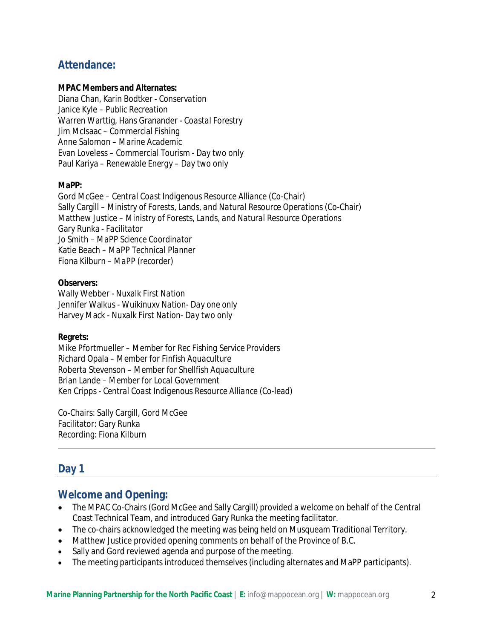# **Attendance:**

#### **MPAC Members and Alternates:**

Diana Chan, Karin Bodtker - *Conservation* Janice Kyle – *Public Recreation* Warren Warttig, Hans Granander - *Coastal Forestry* Jim McIsaac – *Commercial Fishing* Anne Salomon – *Marine Academic* Evan Loveless – *Commercial Tourism - Day two only* Paul Kariya – *Renewable Energy – Day two only*

#### **MaPP:**

Gord McGee – *Central Coast Indigenous Resource Alliance* (Co-Chair) Sally Cargill – *Ministry of Forests, Lands, and Natural Resource Operations* (Co-Chair) Matthew Justice – *Ministry of Forests, Lands, and Natural Resource Operations* Gary Runka *- Facilitator* Jo Smith – *MaPP Science Coordinator* Katie Beach – *MaPP Technical Planner* Fiona Kilburn – *MaPP (recorder)*

#### **Observers:**

Wally Webber - *Nuxalk First Nation* Jennifer Walkus - *Wuikinuxv Nation- Day one only* Harvey Mack - *Nuxalk First Nation- Day two only*

#### **Regrets:**

Mike Pfortmueller – *Member for Rec Fishing Service Providers* Richard Opala *– Member for Finfish Aquaculture Roberta Stevenson – Member for Shellfish Aquaculture* Brian Lande *– Member for Local Government* Ken Cripps - *Central Coast Indigenous Resource Alliance (Co-lead)*

Co-Chairs: Sally Cargill, Gord McGee Facilitator: Gary Runka Recording: Fiona Kilburn

# **Day 1**

### **Welcome and Opening:**

- The MPAC Co-Chairs (Gord McGee and Sally Cargill) provided a welcome on behalf of the Central Coast Technical Team, and introduced Gary Runka the meeting facilitator.
- The co-chairs acknowledged the meeting was being held on Musqueam Traditional Territory.
- Matthew Justice provided opening comments on behalf of the Province of B.C.
- Sally and Gord reviewed agenda and purpose of the meeting.
- The meeting participants introduced themselves (including alternates and MaPP participants).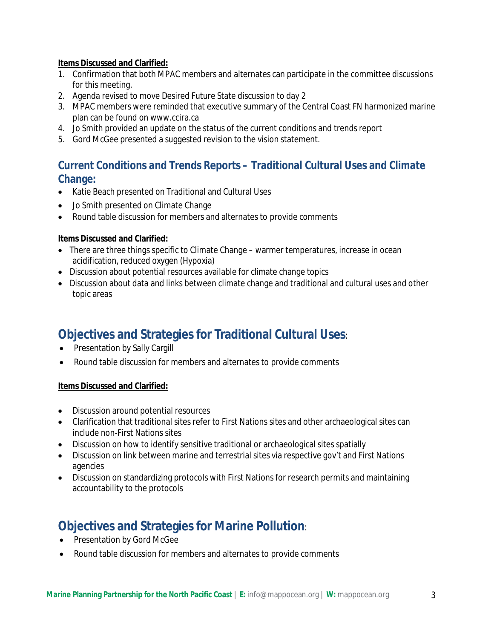### **Items Discussed and Clarified:**

- 1. Confirmation that both MPAC members and alternates can participate in the committee discussions for this meeting.
- 2. Agenda revised to move Desired Future State discussion to day 2
- 3. MPAC members were reminded that executive summary of the Central Coast FN harmonized marine plan can be found on www.ccira.ca
- 4. Jo Smith provided an update on the status of the current conditions and trends report
- 5. Gord McGee presented a suggested revision to the vision statement.

# **Current Conditions and Trends Reports – Traditional Cultural Uses and Climate Change:**

- Katie Beach presented on Traditional and Cultural Uses
- Jo Smith presented on Climate Change
- Round table discussion for members and alternates to provide comments

### **Items Discussed and Clarified:**

- There are three things specific to Climate Change warmer temperatures, increase in ocean acidification, reduced oxygen (Hypoxia)
- Discussion about potential resources available for climate change topics
- Discussion about data and links between climate change and traditional and cultural uses and other topic areas

# **Objectives and Strategies for Traditional Cultural Uses**:

- Presentation by Sally Cargill
- Round table discussion for members and alternates to provide comments

### **Items Discussed and Clarified:**

- Discussion around potential resources
- Clarification that traditional sites refer to First Nations sites and other archaeological sites can include non-First Nations sites
- Discussion on how to identify sensitive traditional or archaeological sites spatially
- Discussion on link between marine and terrestrial sites via respective gov't and First Nations agencies
- Discussion on standardizing protocols with First Nations for research permits and maintaining accountability to the protocols

# **Objectives and Strategies for Marine Pollution**:

- Presentation by Gord McGee
- Round table discussion for members and alternates to provide comments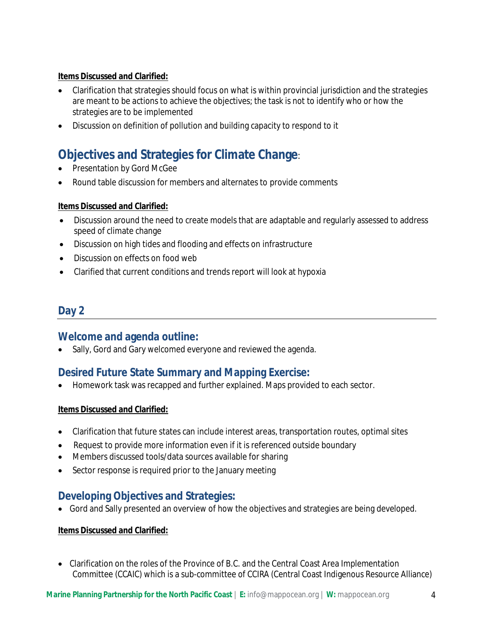### **Items Discussed and Clarified:**

- Clarification that strategies should focus on what is within provincial jurisdiction and the strategies are meant to be actions to achieve the objectives; the task is not to identify who or how the strategies are to be implemented
- Discussion on definition of pollution and building capacity to respond to it

# **Objectives and Strategies for Climate Change**:

- Presentation by Gord McGee
- Round table discussion for members and alternates to provide comments

### **Items Discussed and Clarified:**

- Discussion around the need to create models that are adaptable and regularly assessed to address speed of climate change
- Discussion on high tides and flooding and effects on infrastructure
- Discussion on effects on food web
- Clarified that current conditions and trends report will look at hypoxia

### **Day 2**

### **Welcome and agenda outline:**

• Sally, Gord and Gary welcomed everyone and reviewed the agenda.

### **Desired Future State Summary and Mapping Exercise:**

Homework task was recapped and further explained. Maps provided to each sector.

### **Items Discussed and Clarified:**

- Clarification that future states can include interest areas, transportation routes, optimal sites
- Request to provide more information even if it is referenced outside boundary
- Members discussed tools/data sources available for sharing
- Sector response is required prior to the January meeting

# **Developing Objectives and Strategies:**

Gord and Sally presented an overview of how the objectives and strategies are being developed.

### **Items Discussed and Clarified:**

 Clarification on the roles of the Province of B.C. and the Central Coast Area Implementation Committee (CCAIC) which is a sub-committee of CCIRA (Central Coast Indigenous Resource Alliance)